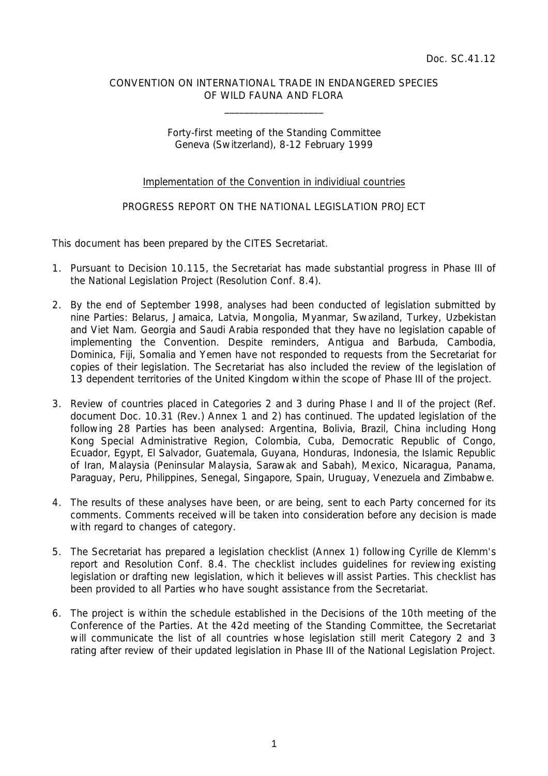# CONVENTION ON INTERNATIONAL TRADE IN ENDANGERED SPECIES OF WILD FAUNA AND FLORA

 $\overline{\phantom{a}}$  , which is a set of the set of the set of the set of the set of the set of the set of the set of the set of the set of the set of the set of the set of the set of the set of the set of the set of the set of th

# Forty-first meeting of the Standing Committee Geneva (Switzerland), 8-12 February 1999

# Implementation of the Convention in individiual countries

# PROGRESS REPORT ON THE NATIONAL LEGISLATION PROJECT

This document has been prepared by the CITES Secretariat.

- 1. Pursuant to Decision 10.115, the Secretariat has made substantial progress in Phase III of the National Legislation Project (Resolution Conf. 8.4).
- 2. By the end of September 1998, analyses had been conducted of legislation submitted by nine Parties: Belarus, Jamaica, Latvia, Mongolia, Myanmar, Swaziland, Turkey, Uzbekistan and Viet Nam. Georgia and Saudi Arabia responded that they have no legislation capable of implementing the Convention. Despite reminders, Antigua and Barbuda, Cambodia, Dominica, Fiji, Somalia and Yemen have not responded to requests from the Secretariat for copies of their legislation. The Secretariat has also included the review of the legislation of 13 dependent territories of the United Kingdom within the scope of Phase III of the project.
- 3. Review of countries placed in Categories 2 and 3 during Phase I and II of the project (Ref. document Doc. 10.31 (Rev.) Annex 1 and 2) has continued. The updated legislation of the following 28 Parties has been analysed: Argentina, Bolivia, Brazil, China including Hong Kong Special Administrative Region, Colombia, Cuba, Democratic Republic of Congo, Ecuador, Egypt, El Salvador, Guatemala, Guyana, Honduras, Indonesia, the Islamic Republic of Iran, Malaysia (Peninsular Malaysia, Sarawak and Sabah), Mexico, Nicaragua, Panama, Paraguay, Peru, Philippines, Senegal, Singapore, Spain, Uruguay, Venezuela and Zimbabwe.
- 4. The results of these analyses have been, or are being, sent to each Party concerned for its comments. Comments received will be taken into consideration before any decision is made with regard to changes of category.
- 5. The Secretariat has prepared a legislation checklist (Annex 1) following Cyrille de Klemm's report and Resolution Conf. 8.4. The checklist includes guidelines for reviewing existing legislation or drafting new legislation, which it believes will assist Parties. This checklist has been provided to all Parties who have sought assistance from the Secretariat.
- 6. The project is within the schedule established in the Decisions of the 10th meeting of the Conference of the Parties. At the 42d meeting of the Standing Committee, the Secretariat will communicate the list of all countries whose legislation still merit Category 2 and 3 rating after review of their updated legislation in Phase III of the National Legislation Project.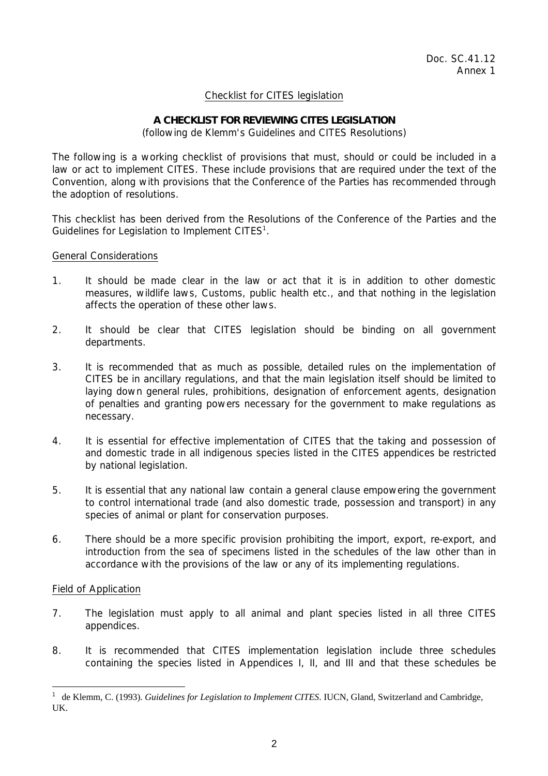# Checklist for CITES legislation

### **A CHECKLIST FOR REVIEWING CITES LEGISLATION**  (following de Klemm's Guidelines and CITES Resolutions)

The following is a working checklist of provisions that must, should or could be included in a law or act to implement CITES. These include provisions that are required under the text of the Convention, along with provisions that the Conference of the Parties has recommended through the adoption of resolutions.

This checklist has been derived from the Resolutions of the Conference of the Parties and the Guidelines for Legislation to Implement CITES $1$ .

### General Considerations

- 1. It should be made clear in the law or act that it is in addition to other domestic measures, wildlife laws, Customs, public health etc., and that nothing in the legislation affects the operation of these other laws.
- 2. It should be clear that CITES legislation should be binding on all government departments.
- 3. It is recommended that as much as possible, detailed rules on the implementation of CITES be in ancillary regulations, and that the main legislation itself should be limited to laying down general rules, prohibitions, designation of enforcement agents, designation of penalties and granting powers necessary for the government to make regulations as necessary.
- 4. It is essential for effective implementation of CITES that the taking and possession of and domestic trade in all indigenous species listed in the CITES appendices be restricted by national legislation.
- 5. It is essential that any national law contain a general clause empowering the government to control international trade (and also domestic trade, possession and transport) in any species of animal or plant for conservation purposes.
- 6. There should be a more specific provision prohibiting the import, export, re-export, and introduction from the sea of specimens listed in the schedules of the law other than in accordance with the provisions of the law or any of its implementing regulations.

# Field of Application

- 7. The legislation must apply to all animal and plant species listed in all three CITES appendices.
- 8. It is recommended that CITES implementation legislation include three schedules containing the species listed in Appendices I, II, and III and that these schedules be

<sup>&</sup>lt;sup>1</sup> de Klemm, C. (1993). *Guidelines for Legislation to Implement CITES*. IUCN, Gland, Switzerland and Cambridge, UK.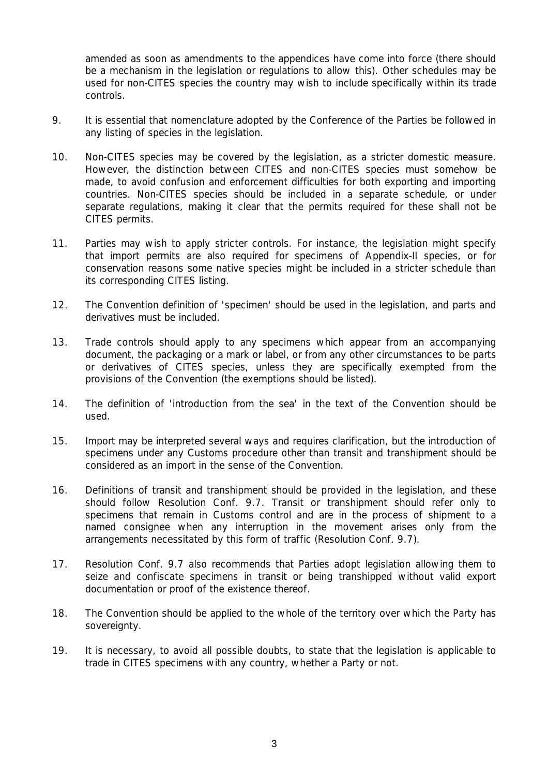amended as soon as amendments to the appendices have come into force (there should be a mechanism in the legislation or regulations to allow this). Other schedules may be used for non-CITES species the country may wish to include specifically within its trade controls.

- 9. It is essential that nomenclature adopted by the Conference of the Parties be followed in any listing of species in the legislation.
- 10. Non-CITES species may be covered by the legislation, as a stricter domestic measure. However, the distinction between CITES and non-CITES species must somehow be made, to avoid confusion and enforcement difficulties for both exporting and importing countries. Non-CITES species should be included in a separate schedule, or under separate regulations, making it clear that the permits required for these shall not be CITES permits.
- 11. Parties may wish to apply stricter controls. For instance, the legislation might specify that import permits are also required for specimens of Appendix-II species, or for conservation reasons some native species might be included in a stricter schedule than its corresponding CITES listing.
- 12. The Convention definition of 'specimen' should be used in the legislation, and parts and derivatives must be included.
- 13. Trade controls should apply to any specimens which appear from an accompanying document, the packaging or a mark or label, or from any other circumstances to be parts or derivatives of CITES species, unless they are specifically exempted from the provisions of the Convention (the exemptions should be listed).
- 14. The definition of 'introduction from the sea' in the text of the Convention should be used.
- 15. Import may be interpreted several ways and requires clarification, but the introduction of specimens under any Customs procedure other than transit and transhipment should be considered as an import in the sense of the Convention.
- 16. Definitions of transit and transhipment should be provided in the legislation, and these should follow Resolution Conf. 9.7. Transit or transhipment should refer only to specimens that remain in Customs control and are in the process of shipment to a named consignee when any interruption in the movement arises only from the arrangements necessitated by this form of traffic (Resolution Conf. 9.7).
- 17. Resolution Conf. 9.7 also recommends that Parties adopt legislation allowing them to seize and confiscate specimens in transit or being transhipped without valid export documentation or proof of the existence thereof.
- 18. The Convention should be applied to the whole of the territory over which the Party has sovereignty.
- 19. It is necessary, to avoid all possible doubts, to state that the legislation is applicable to trade in CITES specimens with any country, whether a Party or not.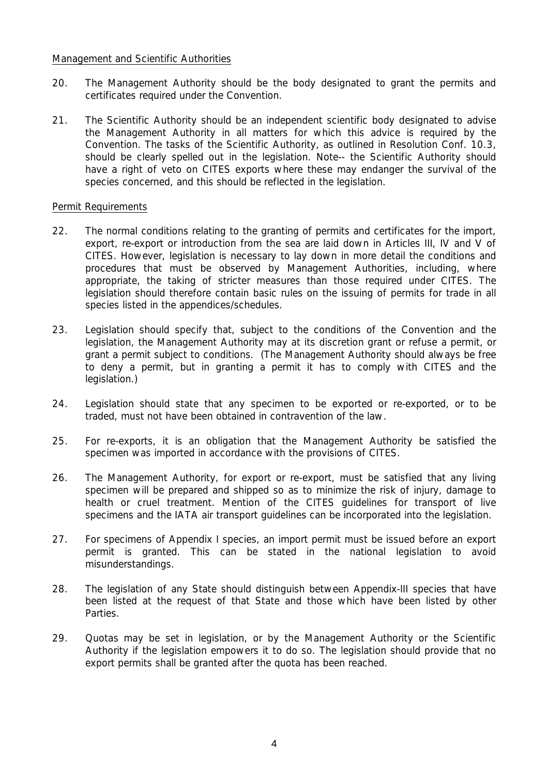### Management and Scientific Authorities

- 20. The Management Authority should be the body designated to grant the permits and certificates required under the Convention.
- 21. The Scientific Authority should be an independent scientific body designated to advise the Management Authority in all matters for which this advice is required by the Convention. The tasks of the Scientific Authority, as outlined in Resolution Conf. 10.3, should be clearly spelled out in the legislation. Note-- the Scientific Authority should have a right of veto on CITES exports where these may endanger the survival of the species concerned, and this should be reflected in the legislation.

# Permit Requirements

- 22. The normal conditions relating to the granting of permits and certificates for the import, export, re-export or introduction from the sea are laid down in Articles III, IV and V of CITES. However, legislation is necessary to lay down in more detail the conditions and procedures that must be observed by Management Authorities, including, where appropriate, the taking of stricter measures than those required under CITES. The legislation should therefore contain basic rules on the issuing of permits for trade in all species listed in the appendices/schedules.
- 23. Legislation should specify that, subject to the conditions of the Convention and the legislation, the Management Authority may at its discretion grant or refuse a permit, or grant a permit subject to conditions. (The Management Authority should always be free to deny a permit, but in granting a permit it has to comply with CITES and the legislation.)
- 24. Legislation should state that any specimen to be exported or re-exported, or to be traded, must not have been obtained in contravention of the law.
- 25. For re-exports, it is an obligation that the Management Authority be satisfied the specimen was imported in accordance with the provisions of CITES.
- 26. The Management Authority, for export or re-export, must be satisfied that any living specimen will be prepared and shipped so as to minimize the risk of injury, damage to health or cruel treatment. Mention of the CITES guidelines for transport of live specimens and the IATA air transport guidelines can be incorporated into the legislation.
- 27. For specimens of Appendix I species, an import permit must be issued before an export permit is granted. This can be stated in the national legislation to avoid misunderstandings.
- 28. The legislation of any State should distinguish between Appendix-III species that have been listed at the request of that State and those which have been listed by other **Parties**
- 29. Quotas may be set in legislation, or by the Management Authority or the Scientific Authority if the legislation empowers it to do so. The legislation should provide that no export permits shall be granted after the quota has been reached.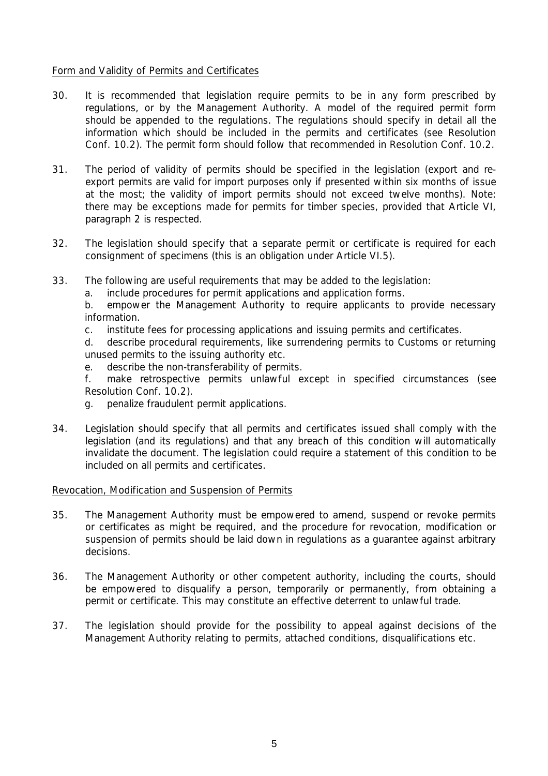# Form and Validity of Permits and Certificates

- 30. It is recommended that legislation require permits to be in any form prescribed by regulations, or by the Management Authority. A model of the required permit form should be appended to the regulations. The regulations should specify in detail all the information which should be included in the permits and certificates (see Resolution Conf. 10.2). The permit form should follow that recommended in Resolution Conf. 10.2.
- 31. The period of validity of permits should be specified in the legislation (export and reexport permits are valid for import purposes only if presented within six months of issue at the most; the validity of import permits should not exceed twelve months). Note: there may be exceptions made for permits for timber species, provided that Article VI, paragraph 2 is respected.
- 32. The legislation should specify that a separate permit or certificate is required for each consignment of specimens (this is an obligation under Article VI.5).
- 33. The following are useful requirements that may be added to the legislation:
	- a. include procedures for permit applications and application forms.
	- b. empower the Management Authority to require applicants to provide necessary information.
	- c. institute fees for processing applications and issuing permits and certificates.
	- d. describe procedural requirements, like surrendering permits to Customs or returning unused permits to the issuing authority etc.
	- e. describe the non-transferability of permits.
	- f. make retrospective permits unlawful except in specified circumstances (see Resolution Conf. 10.2).
	- g. penalize fraudulent permit applications.
- 34. Legislation should specify that all permits and certificates issued shall comply with the legislation (and its regulations) and that any breach of this condition will automatically invalidate the document. The legislation could require a statement of this condition to be included on all permits and certificates.

# Revocation, Modification and Suspension of Permits

- 35. The Management Authority must be empowered to amend, suspend or revoke permits or certificates as might be required, and the procedure for revocation, modification or suspension of permits should be laid down in regulations as a guarantee against arbitrary decisions.
- 36. The Management Authority or other competent authority, including the courts, should be empowered to disqualify a person, temporarily or permanently, from obtaining a permit or certificate. This may constitute an effective deterrent to unlawful trade.
- 37. The legislation should provide for the possibility to appeal against decisions of the Management Authority relating to permits, attached conditions, disqualifications etc.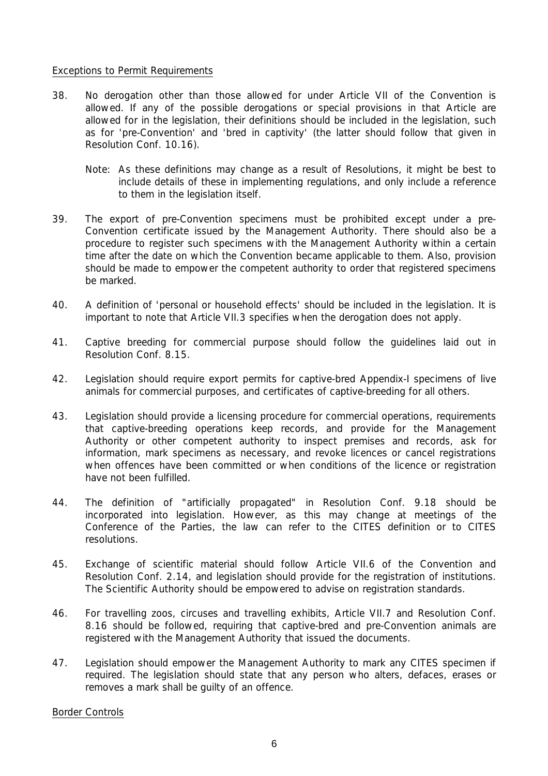### Exceptions to Permit Requirements

- 38. No derogation other than those allowed for under Article VII of the Convention is allowed. If any of the possible derogations or special provisions in that Article are allowed for in the legislation, their definitions should be included in the legislation, such as for 'pre-Convention' and 'bred in captivity' (the latter should follow that given in Resolution Conf. 10.16).
	- Note: As these definitions may change as a result of Resolutions, it might be best to include details of these in implementing regulations, and only include a reference to them in the legislation itself.
- 39. The export of pre-Convention specimens must be prohibited except under a pre-Convention certificate issued by the Management Authority. There should also be a procedure to register such specimens with the Management Authority within a certain time after the date on which the Convention became applicable to them. Also, provision should be made to empower the competent authority to order that registered specimens be marked.
- 40. A definition of 'personal or household effects' should be included in the legislation. It is important to note that Article VII.3 specifies when the derogation does not apply.
- 41. Captive breeding for commercial purpose should follow the guidelines laid out in Resolution Conf. 8.15.
- 42. Legislation should require export permits for captive-bred Appendix-I specimens of live animals for commercial purposes, and certificates of captive-breeding for all others.
- 43. Legislation should provide a licensing procedure for commercial operations, requirements that captive-breeding operations keep records, and provide for the Management Authority or other competent authority to inspect premises and records, ask for information, mark specimens as necessary, and revoke licences or cancel registrations when offences have been committed or when conditions of the licence or registration have not been fulfilled.
- 44. The definition of "artificially propagated" in Resolution Conf. 9.18 should be incorporated into legislation. However, as this may change at meetings of the Conference of the Parties, the law can refer to the CITES definition or to CITES resolutions.
- 45. Exchange of scientific material should follow Article VII.6 of the Convention and Resolution Conf. 2.14, and legislation should provide for the registration of institutions. The Scientific Authority should be empowered to advise on registration standards.
- 46. For travelling zoos, circuses and travelling exhibits, Article VII.7 and Resolution Conf. 8.16 should be followed, requiring that captive-bred and pre-Convention animals are registered with the Management Authority that issued the documents.
- 47. Legislation should empower the Management Authority to mark any CITES specimen if required. The legislation should state that any person who alters, defaces, erases or removes a mark shall be guilty of an offence.

#### Border Controls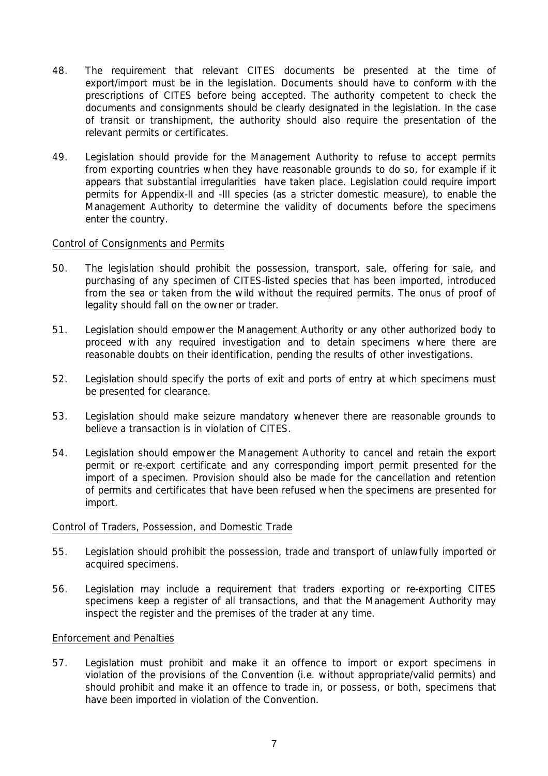- 48. The requirement that relevant CITES documents be presented at the time of export/import must be in the legislation. Documents should have to conform with the prescriptions of CITES before being accepted. The authority competent to check the documents and consignments should be clearly designated in the legislation. In the case of transit or transhipment, the authority should also require the presentation of the relevant permits or certificates.
- 49. Legislation should provide for the Management Authority to refuse to accept permits from exporting countries when they have reasonable grounds to do so, for example if it appears that substantial irregularities have taken place. Legislation could require import permits for Appendix-II and -III species (as a stricter domestic measure), to enable the Management Authority to determine the validity of documents before the specimens enter the country.

### Control of Consignments and Permits

- 50. The legislation should prohibit the possession, transport, sale, offering for sale, and purchasing of any specimen of CITES-listed species that has been imported, introduced from the sea or taken from the wild without the required permits. The onus of proof of legality should fall on the owner or trader.
- 51. Legislation should empower the Management Authority or any other authorized body to proceed with any required investigation and to detain specimens where there are reasonable doubts on their identification, pending the results of other investigations.
- 52. Legislation should specify the ports of exit and ports of entry at which specimens must be presented for clearance.
- 53. Legislation should make seizure mandatory whenever there are reasonable grounds to believe a transaction is in violation of CITES.
- 54. Legislation should empower the Management Authority to cancel and retain the export permit or re-export certificate and any corresponding import permit presented for the import of a specimen. Provision should also be made for the cancellation and retention of permits and certificates that have been refused when the specimens are presented for import.

#### Control of Traders, Possession, and Domestic Trade

- 55. Legislation should prohibit the possession, trade and transport of unlawfully imported or acquired specimens.
- 56. Legislation may include a requirement that traders exporting or re-exporting CITES specimens keep a register of all transactions, and that the Management Authority may inspect the register and the premises of the trader at any time.

#### Enforcement and Penalties

57. Legislation must prohibit and make it an offence to import or export specimens in violation of the provisions of the Convention (i.e. without appropriate/valid permits) and should prohibit and make it an offence to trade in, or possess, or both, specimens that have been imported in violation of the Convention.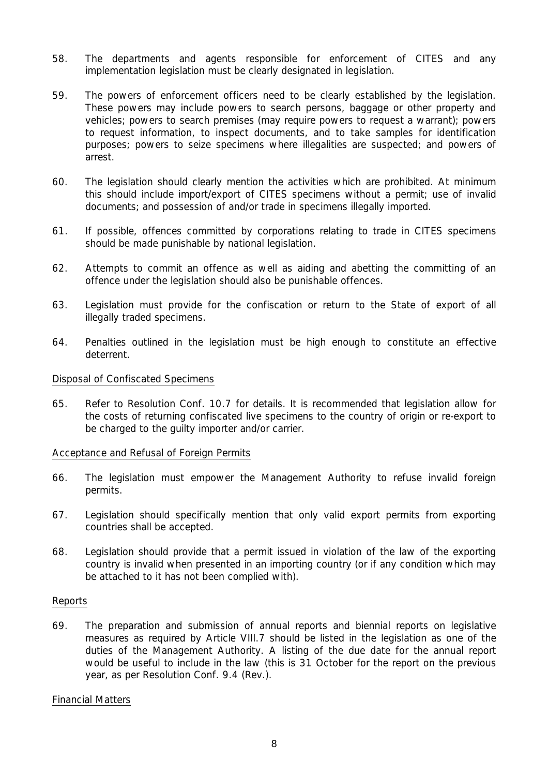- 58. The departments and agents responsible for enforcement of CITES and any implementation legislation must be clearly designated in legislation.
- 59. The powers of enforcement officers need to be clearly established by the legislation. These powers may include powers to search persons, baggage or other property and vehicles; powers to search premises (may require powers to request a warrant); powers to request information, to inspect documents, and to take samples for identification purposes; powers to seize specimens where illegalities are suspected; and powers of arrest.
- 60. The legislation should clearly mention the activities which are prohibited. At minimum this should include import/export of CITES specimens without a permit; use of invalid documents; and possession of and/or trade in specimens illegally imported.
- 61. If possible, offences committed by corporations relating to trade in CITES specimens should be made punishable by national legislation.
- 62. Attempts to commit an offence as well as aiding and abetting the committing of an offence under the legislation should also be punishable offences.
- 63. Legislation must provide for the confiscation or return to the State of export of all illegally traded specimens.
- 64. Penalties outlined in the legislation must be high enough to constitute an effective deterrent.

#### Disposal of Confiscated Specimens

65. Refer to Resolution Conf. 10.7 for details. It is recommended that legislation allow for the costs of returning confiscated live specimens to the country of origin or re-export to be charged to the guilty importer and/or carrier.

#### Acceptance and Refusal of Foreign Permits

- 66. The legislation must empower the Management Authority to refuse invalid foreign permits.
- 67. Legislation should specifically mention that only valid export permits from exporting countries shall be accepted.
- 68. Legislation should provide that a permit issued in violation of the law of the exporting country is invalid when presented in an importing country (or if any condition which may be attached to it has not been complied with).

#### Reports

69. The preparation and submission of annual reports and biennial reports on legislative measures as required by Article VIII.7 should be listed in the legislation as one of the duties of the Management Authority. A listing of the due date for the annual report would be useful to include in the law (this is 31 October for the report on the previous year, as per Resolution Conf. 9.4 (Rev.).

#### Financial Matters